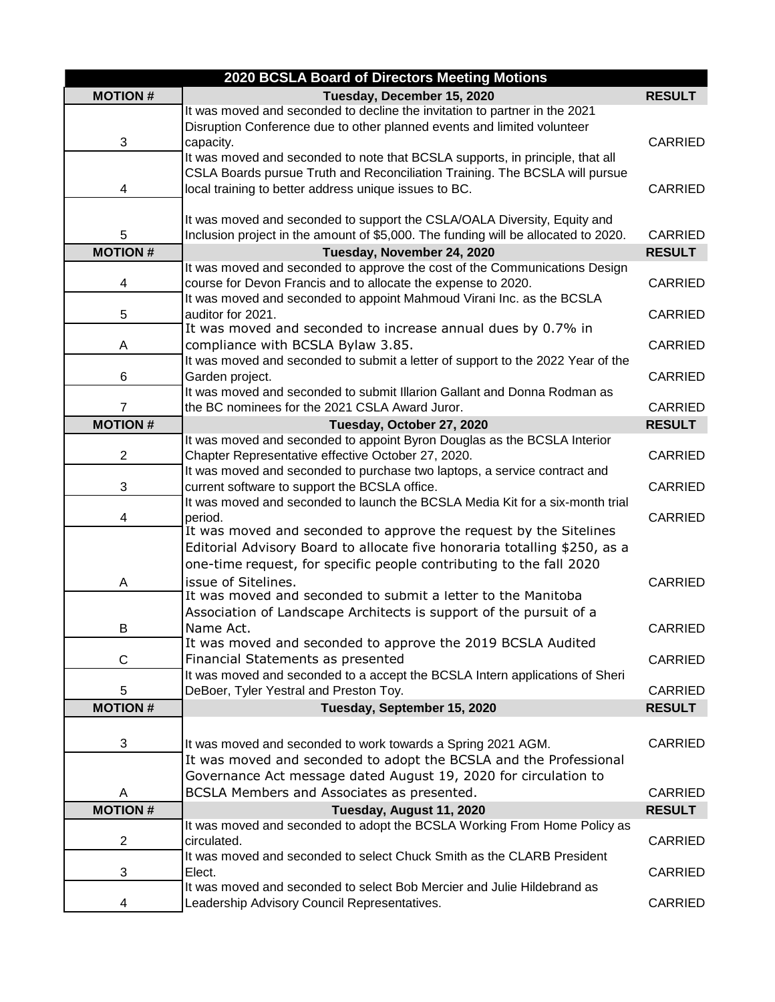| 2020 BCSLA Board of Directors Meeting Motions |                                                                                                                                |                |  |
|-----------------------------------------------|--------------------------------------------------------------------------------------------------------------------------------|----------------|--|
| <b>MOTION#</b>                                | Tuesday, December 15, 2020                                                                                                     | <b>RESULT</b>  |  |
|                                               | It was moved and seconded to decline the invitation to partner in the 2021                                                     |                |  |
|                                               | Disruption Conference due to other planned events and limited volunteer                                                        |                |  |
| 3                                             | capacity.                                                                                                                      | <b>CARRIED</b> |  |
|                                               | It was moved and seconded to note that BCSLA supports, in principle, that all                                                  |                |  |
|                                               | CSLA Boards pursue Truth and Reconciliation Training. The BCSLA will pursue                                                    |                |  |
| 4                                             | local training to better address unique issues to BC.                                                                          | <b>CARRIED</b> |  |
|                                               | It was moved and seconded to support the CSLA/OALA Diversity, Equity and                                                       |                |  |
| 5                                             | Inclusion project in the amount of \$5,000. The funding will be allocated to 2020.                                             | <b>CARRIED</b> |  |
| <b>MOTION#</b>                                | Tuesday, November 24, 2020                                                                                                     | <b>RESULT</b>  |  |
|                                               | It was moved and seconded to approve the cost of the Communications Design                                                     |                |  |
| 4                                             | course for Devon Francis and to allocate the expense to 2020.                                                                  | <b>CARRIED</b> |  |
|                                               | It was moved and seconded to appoint Mahmoud Virani Inc. as the BCSLA                                                          |                |  |
| 5                                             | auditor for 2021.                                                                                                              | <b>CARRIED</b> |  |
|                                               | It was moved and seconded to increase annual dues by 0.7% in                                                                   |                |  |
| A                                             | compliance with BCSLA Bylaw 3.85.                                                                                              | <b>CARRIED</b> |  |
|                                               | It was moved and seconded to submit a letter of support to the 2022 Year of the                                                |                |  |
| 6                                             | Garden project.                                                                                                                | <b>CARRIED</b> |  |
|                                               | It was moved and seconded to submit Illarion Gallant and Donna Rodman as                                                       |                |  |
| $\overline{7}$                                | the BC nominees for the 2021 CSLA Award Juror.                                                                                 | <b>CARRIED</b> |  |
| <b>MOTION#</b>                                | Tuesday, October 27, 2020                                                                                                      | <b>RESULT</b>  |  |
| $\overline{2}$                                | It was moved and seconded to appoint Byron Douglas as the BCSLA Interior<br>Chapter Representative effective October 27, 2020. | <b>CARRIED</b> |  |
|                                               | It was moved and seconded to purchase two laptops, a service contract and                                                      |                |  |
| 3                                             | current software to support the BCSLA office.                                                                                  | <b>CARRIED</b> |  |
|                                               | It was moved and seconded to launch the BCSLA Media Kit for a six-month trial                                                  |                |  |
| 4                                             | period.                                                                                                                        | <b>CARRIED</b> |  |
|                                               | It was moved and seconded to approve the request by the Sitelines                                                              |                |  |
|                                               | Editorial Advisory Board to allocate five honoraria totalling \$250, as a                                                      |                |  |
|                                               | one-time request, for specific people contributing to the fall 2020                                                            |                |  |
| Α                                             | issue of Sitelines.                                                                                                            | <b>CARRIED</b> |  |
|                                               | It was moved and seconded to submit a letter to the Manitoba                                                                   |                |  |
|                                               | Association of Landscape Architects is support of the pursuit of a                                                             |                |  |
| В                                             | Name Act.<br>It was moved and seconded to approve the 2019 BCSLA Audited                                                       | <b>CARRIED</b> |  |
| $\mathsf C$                                   | Financial Statements as presented                                                                                              | CARRIED        |  |
|                                               | It was moved and seconded to a accept the BCSLA Intern applications of Sheri                                                   |                |  |
| 5                                             | DeBoer, Tyler Yestral and Preston Toy.                                                                                         | CARRIED        |  |
| <b>MOTION#</b>                                | Tuesday, September 15, 2020                                                                                                    | <b>RESULT</b>  |  |
|                                               |                                                                                                                                |                |  |
| 3                                             | It was moved and seconded to work towards a Spring 2021 AGM.                                                                   | CARRIED        |  |
|                                               | It was moved and seconded to adopt the BCSLA and the Professional                                                              |                |  |
|                                               | Governance Act message dated August 19, 2020 for circulation to                                                                |                |  |
| A                                             | BCSLA Members and Associates as presented.                                                                                     | <b>CARRIED</b> |  |
| <b>MOTION#</b>                                | Tuesday, August 11, 2020                                                                                                       | <b>RESULT</b>  |  |
|                                               | It was moved and seconded to adopt the BCSLA Working From Home Policy as                                                       |                |  |
| $\overline{2}$                                | circulated.                                                                                                                    | CARRIED        |  |
|                                               | It was moved and seconded to select Chuck Smith as the CLARB President                                                         |                |  |
| 3                                             | Elect.                                                                                                                         | <b>CARRIED</b> |  |
|                                               | It was moved and seconded to select Bob Mercier and Julie Hildebrand as                                                        |                |  |
| 4                                             | Leadership Advisory Council Representatives.                                                                                   | CARRIED        |  |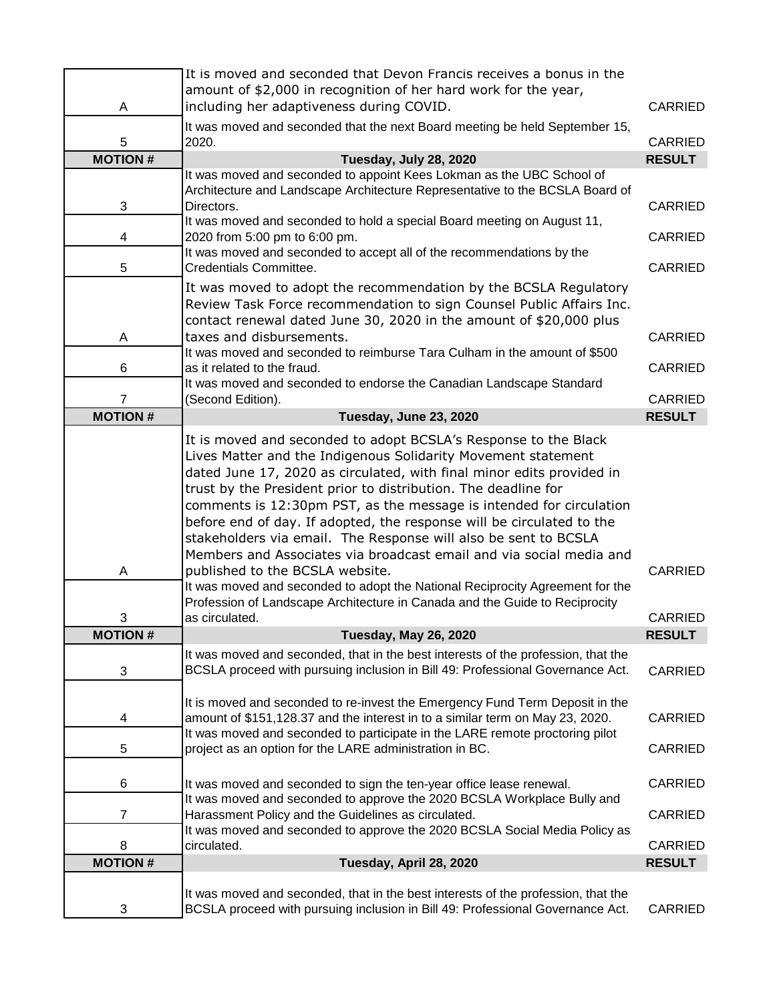|                                  | It is moved and seconded that Devon Francis receives a bonus in the<br>amount of \$2,000 in recognition of her hard work for the year, |                                 |
|----------------------------------|----------------------------------------------------------------------------------------------------------------------------------------|---------------------------------|
| A                                | including her adaptiveness during COVID.                                                                                               | <b>CARRIED</b>                  |
|                                  | It was moved and seconded that the next Board meeting be held September 15,                                                            |                                 |
| 5                                | 2020.                                                                                                                                  | <b>CARRIED</b>                  |
| <b>MOTION#</b>                   | Tuesday, July 28, 2020                                                                                                                 | <b>RESULT</b>                   |
|                                  | It was moved and seconded to appoint Kees Lokman as the UBC School of                                                                  |                                 |
|                                  | Architecture and Landscape Architecture Representative to the BCSLA Board of                                                           |                                 |
| 3                                | Directors.<br>It was moved and seconded to hold a special Board meeting on August 11,                                                  | <b>CARRIED</b>                  |
| 4                                | 2020 from 5:00 pm to 6:00 pm.                                                                                                          | <b>CARRIED</b>                  |
|                                  | It was moved and seconded to accept all of the recommendations by the                                                                  |                                 |
| 5                                | Credentials Committee.                                                                                                                 | <b>CARRIED</b>                  |
|                                  | It was moved to adopt the recommendation by the BCSLA Regulatory                                                                       |                                 |
|                                  | Review Task Force recommendation to sign Counsel Public Affairs Inc.                                                                   |                                 |
|                                  | contact renewal dated June 30, 2020 in the amount of \$20,000 plus                                                                     |                                 |
| Α                                | taxes and disbursements.                                                                                                               | <b>CARRIED</b>                  |
|                                  | It was moved and seconded to reimburse Tara Culham in the amount of \$500                                                              |                                 |
| 6                                | as it related to the fraud.                                                                                                            | <b>CARRIED</b>                  |
|                                  | It was moved and seconded to endorse the Canadian Landscape Standard                                                                   |                                 |
| $\overline{7}$<br><b>MOTION#</b> | (Second Edition).<br>Tuesday, June 23, 2020                                                                                            | <b>CARRIED</b><br><b>RESULT</b> |
|                                  |                                                                                                                                        |                                 |
|                                  | It is moved and seconded to adopt BCSLA's Response to the Black                                                                        |                                 |
|                                  | Lives Matter and the Indigenous Solidarity Movement statement                                                                          |                                 |
|                                  | dated June 17, 2020 as circulated, with final minor edits provided in                                                                  |                                 |
|                                  | trust by the President prior to distribution. The deadline for                                                                         |                                 |
|                                  | comments is 12:30pm PST, as the message is intended for circulation                                                                    |                                 |
|                                  | before end of day. If adopted, the response will be circulated to the                                                                  |                                 |
|                                  | stakeholders via email. The Response will also be sent to BCSLA<br>Members and Associates via broadcast email and via social media and |                                 |
|                                  | published to the BCSLA website.                                                                                                        | <b>CARRIED</b>                  |
| Α                                | It was moved and seconded to adopt the National Reciprocity Agreement for the                                                          |                                 |
|                                  | Profession of Landscape Architecture in Canada and the Guide to Reciprocity                                                            |                                 |
| 3                                | as circulated.                                                                                                                         | <b>CARRIED</b>                  |
| <b>MOTION#</b>                   | <b>Tuesday, May 26, 2020</b>                                                                                                           | <b>RESULT</b>                   |
|                                  | It was moved and seconded, that in the best interests of the profession, that the                                                      |                                 |
| 3                                | BCSLA proceed with pursuing inclusion in Bill 49: Professional Governance Act.                                                         | <b>CARRIED</b>                  |
|                                  |                                                                                                                                        |                                 |
|                                  | It is moved and seconded to re-invest the Emergency Fund Term Deposit in the                                                           |                                 |
| 4                                | amount of \$151,128.37 and the interest in to a similar term on May 23, 2020.                                                          | <b>CARRIED</b>                  |
|                                  | It was moved and seconded to participate in the LARE remote proctoring pilot                                                           |                                 |
| 5                                | project as an option for the LARE administration in BC.                                                                                | CARRIED                         |
|                                  |                                                                                                                                        |                                 |
| 6                                | It was moved and seconded to sign the ten-year office lease renewal.                                                                   | <b>CARRIED</b>                  |
| 7                                | It was moved and seconded to approve the 2020 BCSLA Workplace Bully and<br>Harassment Policy and the Guidelines as circulated.         | <b>CARRIED</b>                  |
|                                  | It was moved and seconded to approve the 2020 BCSLA Social Media Policy as                                                             |                                 |
| 8                                | circulated.                                                                                                                            | <b>CARRIED</b>                  |
| <b>MOTION#</b>                   | Tuesday, April 28, 2020                                                                                                                | <b>RESULT</b>                   |
|                                  |                                                                                                                                        |                                 |
|                                  | It was moved and seconded, that in the best interests of the profession, that the                                                      |                                 |
| 3                                | BCSLA proceed with pursuing inclusion in Bill 49: Professional Governance Act.                                                         | CARRIED                         |